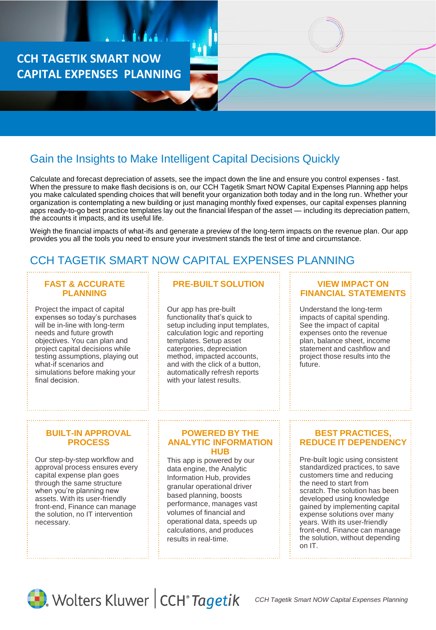**CCH TAGETIK SMART NOW CAPITAL EXPENSES PLANNING**

# Gain the Insights to Make Intelligent Capital Decisions Quickly

Calculate and forecast depreciation of assets, see the impact down the line and ensure you control expenses - fast. When the pressure to make flash decisions is on, our CCH Tagetik Smart NOW Capital Expenses Planning app helps you make calculated spending choices that will benefit your organization both today and in the long run. Whether your organization is contemplating a new building or just managing monthly fixed expenses, our capital expenses planning apps ready-to-go best practice templates lay out the financial lifespan of the asset — including its depreciation pattern, the accounts it impacts, and its useful life.

Weigh the financial impacts of what-ifs and generate a preview of the long-term impacts on the revenue plan. Our app provides you all the tools you need to ensure your investment stands the test of time and circumstance.

## CCH TAGETIK SMART NOW CAPITAL EXPENSES PLANNING

#### **FAST & ACCURATE PLANNING**

Project the impact of capital expenses so today's purchases will be in-line with long-term needs and future growth objectives. You can plan and project capital decisions while testing assumptions, playing out what-if scenarios and simulations before making your final decision.

## **PRE-BUILT SOLUTION**

Our app has pre-built functionality that's quick to setup including input templates, calculation logic and reporting templates. Setup asset catergories, depreciation method, impacted accounts, and with the click of a button, automatically refresh reports with your latest results.

#### **VIEW IMPACT ON FINANCIAL STATEMENTS**

Understand the long-term impacts of capital spending. See the impact of capital expenses onto the revenue plan, balance sheet, income statement and cashflow and project those results into the future.

#### **BUILT-IN APPROVAL PROCESS**

Our step-by-step workflow and approval process ensures every capital expense plan goes through the same structure when you're planning new assets. With its user-friendly front-end, Finance can manage the solution, no IT intervention necessary.

#### **POWERED BY THE ANALYTIC INFORMATION HUB**

This app is powered by our data engine, the Analytic Information Hub, provides granular operational driver based planning, boosts performance, manages vast volumes of financial and operational data, speeds up calculations, and produces results in real-time.

### **BEST PRACTICES, REDUCE IT DEPENDENCY**

Pre-built logic using consistent standardized practices, to save customers time and reducing the need to start from scratch. The solution has been developed using knowledge gained by implementing capital expense solutions over many years. With its user-friendly front-end, Finance can manage the solution, without depending on IT.



Wolters Kluwer | CCH<sup>®</sup> Tagetik